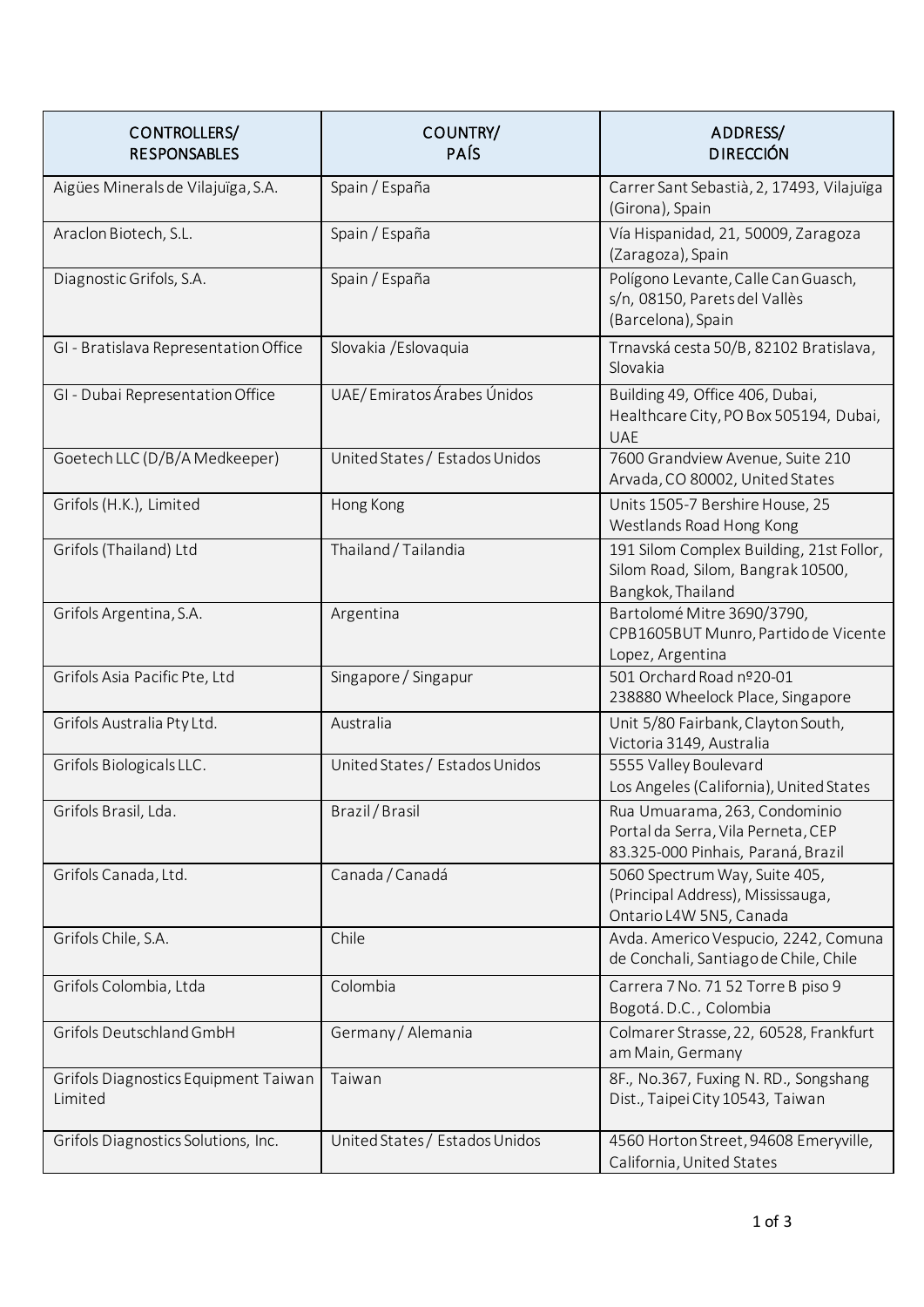| CONTROLLERS/<br><b>RESPONSABLES</b>             | COUNTRY/<br>PAÍS               | ADDRESS/<br><b>DIRECCIÓN</b>                                                                              |
|-------------------------------------------------|--------------------------------|-----------------------------------------------------------------------------------------------------------|
| Aigües Minerals de Vilajuïga, S.A.              | Spain / España                 | Carrer Sant Sebastià, 2, 17493, Vilajuïga<br>(Girona), Spain                                              |
| Araclon Biotech, S.L.                           | Spain / España                 | Vía Hispanidad, 21, 50009, Zaragoza<br>(Zaragoza), Spain                                                  |
| Diagnostic Grifols, S.A.                        | Spain / España                 | Polígono Levante, Calle Can Guasch,<br>s/n, 08150, Parets del Vallès<br>(Barcelona), Spain                |
| GI - Bratislava Representation Office           | Slovakia / Eslovaquia          | Trnavská cesta 50/B, 82102 Bratislava,<br>Slovakia                                                        |
| GI - Dubai Representation Office                | UAE/Emiratos Árabes Únidos     | Building 49, Office 406, Dubai,<br>Healthcare City, PO Box 505194, Dubai,<br><b>UAE</b>                   |
| Goetech LLC (D/B/A Medkeeper)                   | United States / Estados Unidos | 7600 Grandview Avenue, Suite 210<br>Arvada, CO 80002, United States                                       |
| Grifols (H.K.), Limited                         | Hong Kong                      | Units 1505-7 Bershire House, 25<br>Westlands Road Hong Kong                                               |
| Grifols (Thailand) Ltd                          | Thailand / Tailandia           | 191 Silom Complex Building, 21st Follor,<br>Silom Road, Silom, Bangrak 10500,<br>Bangkok, Thailand        |
| Grifols Argentina, S.A.                         | Argentina                      | Bartolomé Mitre 3690/3790,<br>CPB1605BUT Munro, Partido de Vicente<br>Lopez, Argentina                    |
| Grifols Asia Pacific Pte, Ltd                   | Singapore / Singapur           | 501 Orchard Road nº20-01<br>238880 Wheelock Place, Singapore                                              |
| Grifols Australia Pty Ltd.                      | Australia                      | Unit 5/80 Fairbank, Clayton South,<br>Victoria 3149, Australia                                            |
| Grifols Biologicals LLC.                        | United States / Estados Unidos | 5555 Valley Boulevard<br>Los Angeles (California), United States                                          |
| Grifols Brasil, Lda.                            | Brazil / Brasil                | Rua Umuarama, 263, Condominio<br>Portal da Serra, Vila Perneta, CEP<br>83.325-000 Pinhais, Paraná, Brazil |
| Grifols Canada, Ltd.                            | Canada / Canadá                | 5060 Spectrum Way, Suite 405,<br>(Principal Address), Mississauga,<br>Ontario L4W 5N5, Canada             |
| Grifols Chile, S.A.                             | Chile                          | Avda. Americo Vespucio, 2242, Comuna<br>de Conchali, Santiago de Chile, Chile                             |
| Grifols Colombia, Ltda                          | Colombia                       | Carrera 7 No. 71 52 Torre B piso 9<br>Bogotá.D.C., Colombia                                               |
| Grifols Deutschland GmbH                        | Germany / Alemania             | Colmarer Strasse, 22, 60528, Frankfurt<br>am Main, Germany                                                |
| Grifols Diagnostics Equipment Taiwan<br>Limited | Taiwan                         | 8F., No.367, Fuxing N. RD., Songshang<br>Dist., Taipei City 10543, Taiwan                                 |
| Grifols Diagnostics Solutions, Inc.             | United States / Estados Unidos | 4560 Horton Street, 94608 Emeryville,<br>California, United States                                        |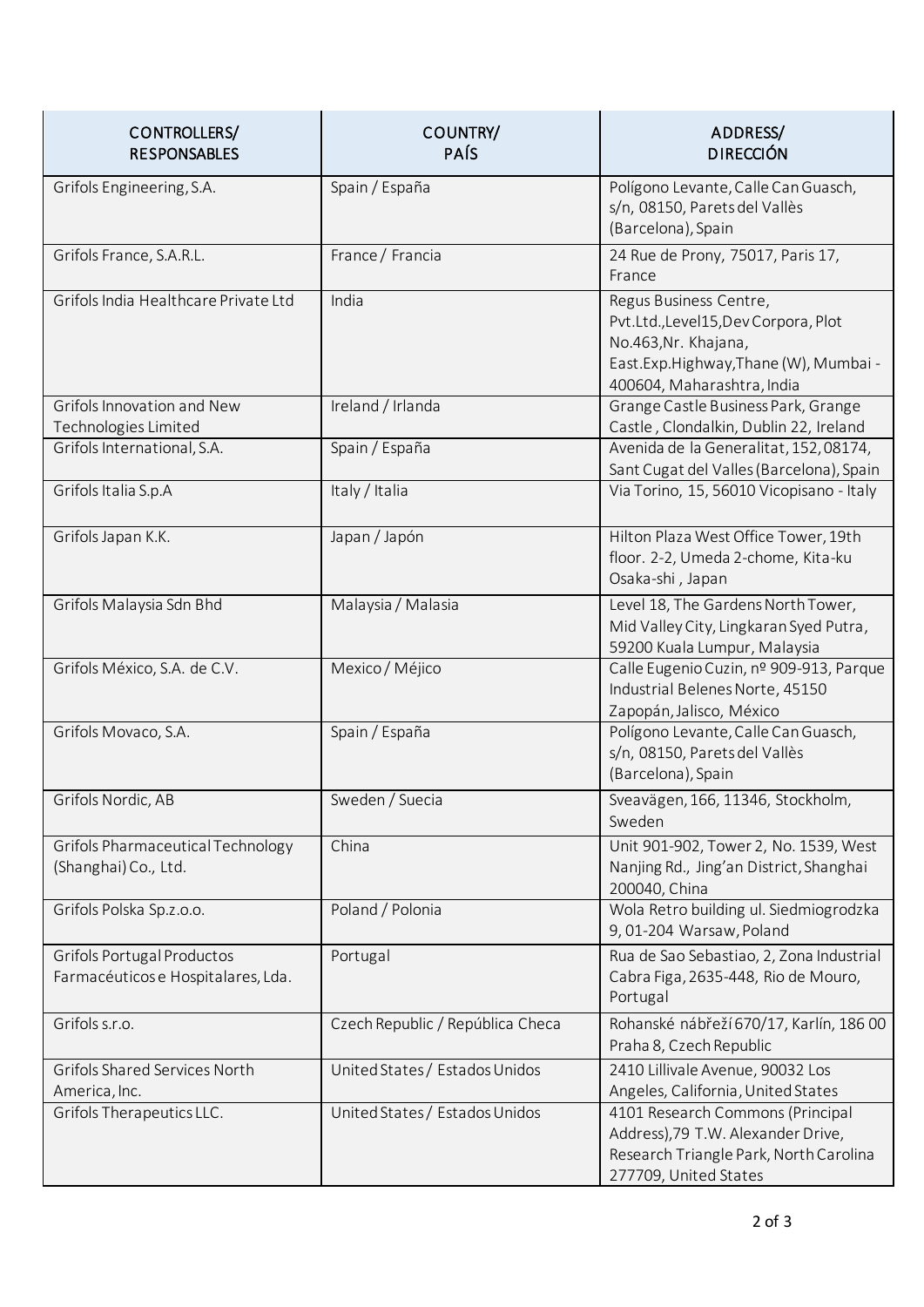| CONTROLLERS/<br><b>RESPONSABLES</b>                              | COUNTRY/<br>PAÍS                 | ADDRESS/<br><b>DIRECCIÓN</b>                                                                                                                               |
|------------------------------------------------------------------|----------------------------------|------------------------------------------------------------------------------------------------------------------------------------------------------------|
| Grifols Engineering, S.A.                                        | Spain / España                   | Polígono Levante, Calle Can Guasch,<br>s/n, 08150, Parets del Vallès<br>(Barcelona), Spain                                                                 |
| Grifols France, S.A.R.L.                                         | France / Francia                 | 24 Rue de Prony, 75017, Paris 17,<br>France                                                                                                                |
| Grifols India Healthcare Private Ltd                             | India                            | Regus Business Centre,<br>Pvt.Ltd.,Level15,Dev Corpora, Plot<br>No.463, Nr. Khajana,<br>East.Exp.Highway,Thane (W), Mumbai -<br>400604, Maharashtra, India |
| Grifols Innovation and New<br>Technologies Limited               | Ireland / Irlanda                | Grange Castle Business Park, Grange<br>Castle, Clondalkin, Dublin 22, Ireland                                                                              |
| Grifols International, S.A.                                      | Spain / España                   | Avenida de la Generalitat, 152, 08174,<br>Sant Cugat del Valles (Barcelona), Spain                                                                         |
| Grifols Italia S.p.A                                             | Italy / Italia                   | Via Torino, 15, 56010 Vicopisano - Italy                                                                                                                   |
| Grifols Japan K.K.                                               | Japan / Japón                    | Hilton Plaza West Office Tower, 19th<br>floor. 2-2, Umeda 2-chome, Kita-ku<br>Osaka-shi, Japan                                                             |
| Grifols Malaysia Sdn Bhd                                         | Malaysia / Malasia               | Level 18, The Gardens North Tower,<br>Mid Valley City, Lingkaran Syed Putra,<br>59200 Kuala Lumpur, Malaysia                                               |
| Grifols México, S.A. de C.V.                                     | Mexico / Méjico                  | Calle Eugenio Cuzin, nº 909-913, Parque<br>Industrial Belenes Norte, 45150<br>Zapopán, Jalisco, México                                                     |
| Grifols Movaco, S.A.                                             | Spain / España                   | Polígono Levante, Calle Can Guasch,<br>s/n, 08150, Parets del Vallès<br>(Barcelona), Spain                                                                 |
| Grifols Nordic, AB                                               | Sweden / Suecia                  | Sveavägen, 166, 11346, Stockholm,<br>Sweden                                                                                                                |
| Grifols Pharmaceutical Technology<br>(Shanghai) Co., Ltd.        | China                            | Unit 901-902, Tower 2, No. 1539, West<br>Nanjing Rd., Jing'an District, Shanghai<br>200040, China                                                          |
| Grifols Polska Sp.z.o.o.                                         | Poland / Polonia                 | Wola Retro building ul. Siedmiogrodzka<br>9,01-204 Warsaw, Poland                                                                                          |
| Grifols Portugal Productos<br>Farmacéuticos e Hospitalares, Lda. | Portugal                         | Rua de Sao Sebastiao, 2, Zona Industrial<br>Cabra Figa, 2635-448, Rio de Mouro,<br>Portugal                                                                |
| Grifols s.r.o.                                                   | Czech Republic / República Checa | Rohanské nábřeží 670/17, Karlín, 186 00<br>Praha 8, Czech Republic                                                                                         |
| Grifols Shared Services North<br>America, Inc.                   | United States / Estados Unidos   | 2410 Lillivale Avenue, 90032 Los<br>Angeles, California, United States                                                                                     |
| Grifols Therapeutics LLC.                                        | United States / Estados Unidos   | 4101 Research Commons (Principal<br>Address), 79 T.W. Alexander Drive,<br>Research Triangle Park, North Carolina<br>277709, United States                  |